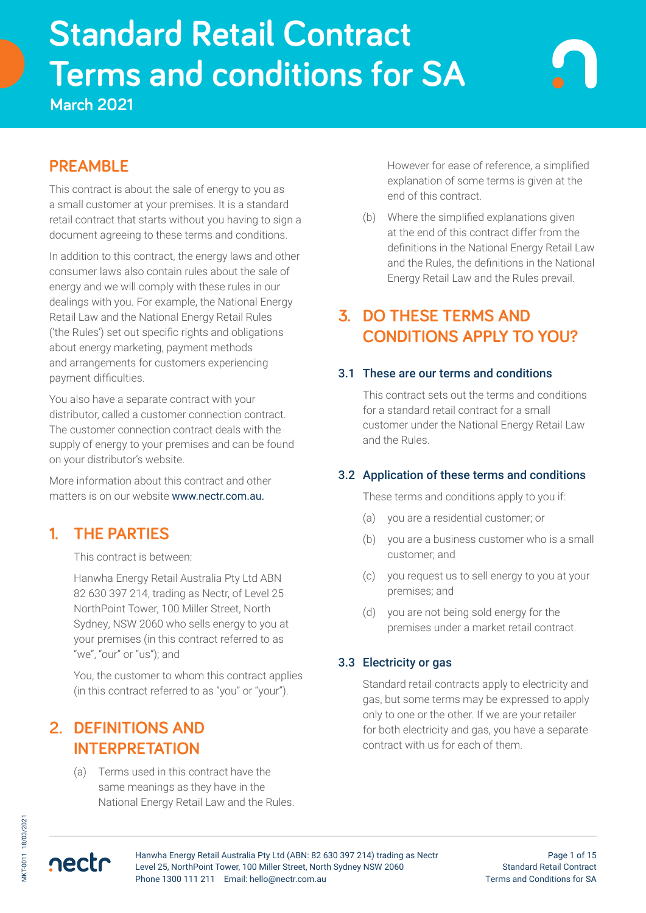# **Standard Retail Contract Terms and conditions for SA**<br>March 2021 **Standard Retail Contract Terms and conditions for SA**

**March 2021**

# **PREAMBLE**

This contract is about the sale of energy to you as a small customer at your premises. It is a standard retail contract that starts without you having to sign a document agreeing to these terms and conditions.

In addition to this contract, the energy laws and other consumer laws also contain rules about the sale of energy and we will comply with these rules in our dealings with you. For example, the National Energy Retail Law and the National Energy Retail Rules ('the Rules') set out specific rights and obligations about energy marketing, payment methods and arrangements for customers experiencing payment difficulties.

You also have a separate contract with your distributor, called a customer connection contract. The customer connection contract deals with the supply of energy to your premises and can be found on your distributor's website.

More information about this contract and other matters is on our website www.nectr.com.au.

## **1. THE PARTIES**

This contract is between:

Hanwha Energy Retail Australia Pty Ltd ABN 82 630 397 214, trading as Nectr, of Level 25 NorthPoint Tower, 100 Miller Street, North Sydney, NSW 2060 who sells energy to you at your premises (in this contract referred to as "we", "our" or "us"); and

You, the customer to whom this contract applies (in this contract referred to as "you" or "your").

## **2. DEFINITIONS AND INTERPRETATION**

(a) Terms used in this contract have the same meanings as they have in the National Energy Retail Law and the Rules. However for ease of reference, a simplified explanation of some terms is given at the end of this contract.

(b) Where the simplified explanations given at the end of this contract differ from the definitions in the National Energy Retail Law and the Rules, the definitions in the National Energy Retail Law and the Rules prevail.

# **3. DO THESE TERMS AND CONDITIONS APPLY TO YOU?**

### 3.1 These are our terms and conditions

This contract sets out the terms and conditions for a standard retail contract for a small customer under the National Energy Retail Law and the Rules.

### 3.2 Application of these terms and conditions

These terms and conditions apply to you if:

- (a) you are a residential customer; or
- (b) you are a business customer who is a small customer; and
- (c) you request us to sell energy to you at your premises; and
- (d) you are not being sold energy for the premises under a market retail contract.

## 3.3 Electricity or gas

Standard retail contracts apply to electricity and gas, but some terms may be expressed to apply only to one or the other. If we are your retailer for both electricity and gas, you have a separate contract with us for each of them.



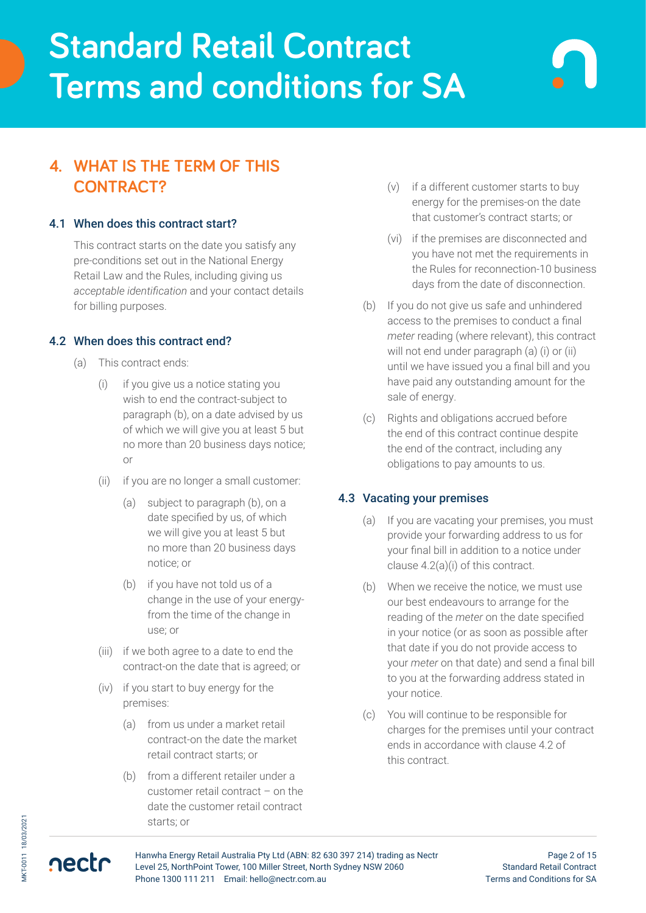## **4. WHAT IS THE TERM OF THIS CONTRACT?**

### 4.1 When does this contract start?

This contract starts on the date you satisfy any pre-conditions set out in the National Energy Retail Law and the Rules, including giving us *acceptable identification* and your contact details for billing purposes.

### 4.2 When does this contract end?

- (a) This contract ends:
	- (i) if you give us a notice stating you wish to end the contract-subject to paragraph (b), on a date advised by us of which we will give you at least 5 but no more than 20 business days notice; or
	- (ii) if you are no longer a small customer:
		- (a) subject to paragraph (b), on a date specified by us, of which we will give you at least 5 but no more than 20 business days notice; or
		- (b) if you have not told us of a change in the use of your energyfrom the time of the change in use; or
	- (iii) if we both agree to a date to end the contract-on the date that is agreed; or
	- (iv) if you start to buy energy for the premises:
		- (a) from us under a market retail contract-on the date the market retail contract starts; or
		- (b) from a different retailer under a customer retail contract – on the date the customer retail contract starts; or
- (v) if a different customer starts to buy energy for the premises-on the date that customer's contract starts; or
- (vi) if the premises are disconnected and you have not met the requirements in the Rules for reconnection-10 business days from the date of disconnection.
- (b) If you do not give us safe and unhindered access to the premises to conduct a final *meter* reading (where relevant), this contract will not end under paragraph (a) (i) or (ii) until we have issued you a final bill and you have paid any outstanding amount for the sale of energy.
- (c) Rights and obligations accrued before the end of this contract continue despite the end of the contract, including any obligations to pay amounts to us.

#### 4.3 Vacating your premises

- (a) If you are vacating your premises, you must provide your forwarding address to us for your final bill in addition to a notice under clause 4.2(a)(i) of this contract.
- (b) When we receive the notice, we must use our best endeavours to arrange for the reading of the *meter* on the date specified in your notice (or as soon as possible after that date if you do not provide access to your *meter* on that date) and send a final bill to you at the forwarding address stated in your notice.
- (c) You will continue to be responsible for charges for the premises until your contract ends in accordance with clause 4.2 of this contract.

nectr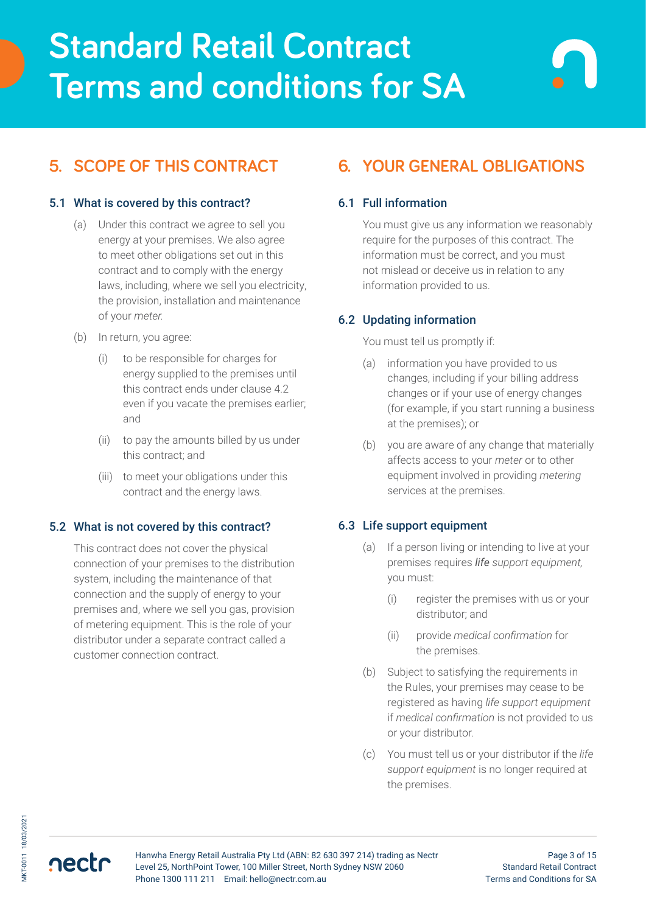# **5. SCOPE OF THIS CONTRACT**

### 5.1 What is covered by this contract?

- (a) Under this contract we agree to sell you energy at your premises. We also agree to meet other obligations set out in this contract and to comply with the energy laws, including, where we sell you electricity, the provision, installation and maintenance of your *meter.*
- (b) In return, you agree:
	- (i) to be responsible for charges for energy supplied to the premises until this contract ends under clause 4.2 even if you vacate the premises earlier; and
	- (ii) to pay the amounts billed by us under this contract; and
	- (iii) to meet your obligations under this contract and the energy laws.

#### 5.2 What is not covered by this contract?

This contract does not cover the physical connection of your premises to the distribution system, including the maintenance of that connection and the supply of energy to your premises and, where we sell you gas, provision of metering equipment. This is the role of your distributor under a separate contract called a customer connection contract.

# **6. YOUR GENERAL OBLIGATIONS**

### 6.1 Full information

You must give us any information we reasonably require for the purposes of this contract. The information must be correct, and you must not mislead or deceive us in relation to any information provided to us.

### 6.2 Updating information

#### You must tell us promptly if:

- (a) information you have provided to us changes, including if your billing address changes or if your use of energy changes (for example, if you start running a business at the premises); or
- (b) you are aware of any change that materially affects access to your *meter* or to other equipment involved in providing *metering* services at the premises.

### 6.3 Life support equipment

- (a) If a person living or intending to live at your premises requires *life support equipment,* you must:
	- (i) register the premises with us or your distributor; and
	- (ii) provide *medical confirmation* for the premises.
- (b) Subject to satisfying the requirements in the Rules, your premises may cease to be registered as having *life support equipment*  if *medical confirmation* is not provided to us or your distributor.
- (c) You must tell us or your distributor if the *life support equipment* is no longer required at the premises.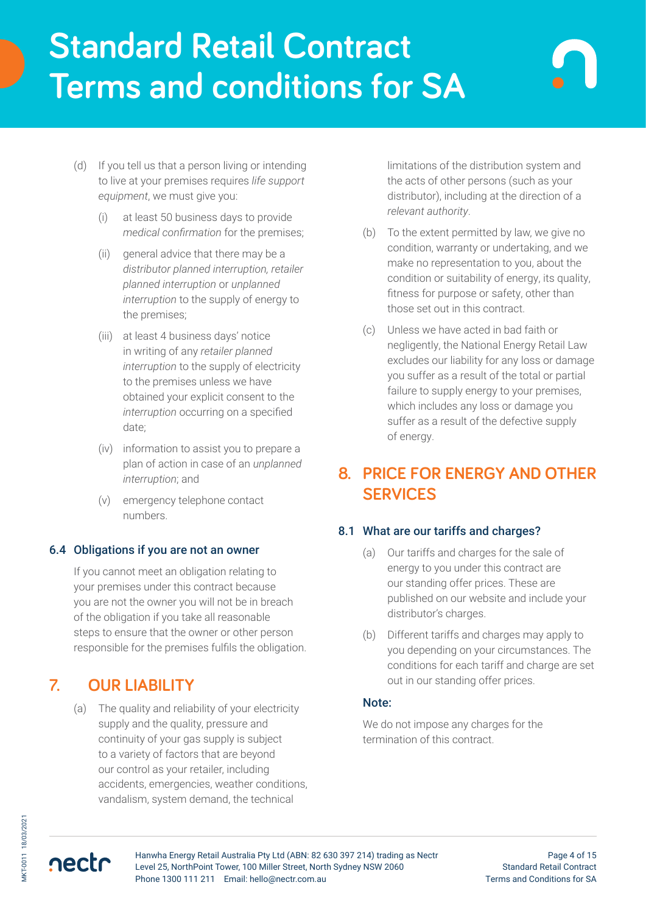- (d) If you tell us that a person living or intending to live at your premises requires *life support equipment*, we must give you:
	- (i) at least 50 business days to provide *medical confirmation* for the premises;
	- (ii) general advice that there may be a *distributor planned interruption, retailer planned interruption* or *unplanned interruption* to the supply of energy to the premises;
	- (iii) at least 4 business days' notice in writing of any *retailer planned interruption* to the supply of electricity to the premises unless we have obtained your explicit consent to the *interruption* occurring on a specified date;
	- (iv) information to assist you to prepare a plan of action in case of an *unplanned interruption*; and
	- (v) emergency telephone contact numbers.

### 6.4 Obligations if you are not an owner

If you cannot meet an obligation relating to your premises under this contract because you are not the owner you will not be in breach of the obligation if you take all reasonable steps to ensure that the owner or other person responsible for the premises fulfils the obligation.

## **7. OUR LIABILITY**

(a) The quality and reliability of your electricity supply and the quality, pressure and continuity of your gas supply is subject to a variety of factors that are beyond our control as your retailer, including accidents, emergencies, weather conditions, vandalism, system demand, the technical

limitations of the distribution system and the acts of other persons (such as your distributor), including at the direction of a *relevant authority*.

- (b) To the extent permitted by law, we give no condition, warranty or undertaking, and we make no representation to you, about the condition or suitability of energy, its quality, fitness for purpose or safety, other than those set out in this contract.
- (c) Unless we have acted in bad faith or negligently, the National Energy Retail Law excludes our liability for any loss or damage you suffer as a result of the total or partial failure to supply energy to your premises, which includes any loss or damage you suffer as a result of the defective supply of energy.

## **8. PRICE FOR ENERGY AND OTHER SERVICES**

### 8.1 What are our tariffs and charges?

- (a) Our tariffs and charges for the sale of energy to you under this contract are our standing offer prices. These are published on our website and include your distributor's charges.
- (b) Different tariffs and charges may apply to you depending on your circumstances. The conditions for each tariff and charge are set out in our standing offer prices.

#### Note:

We do not impose any charges for the termination of this contract.

nectr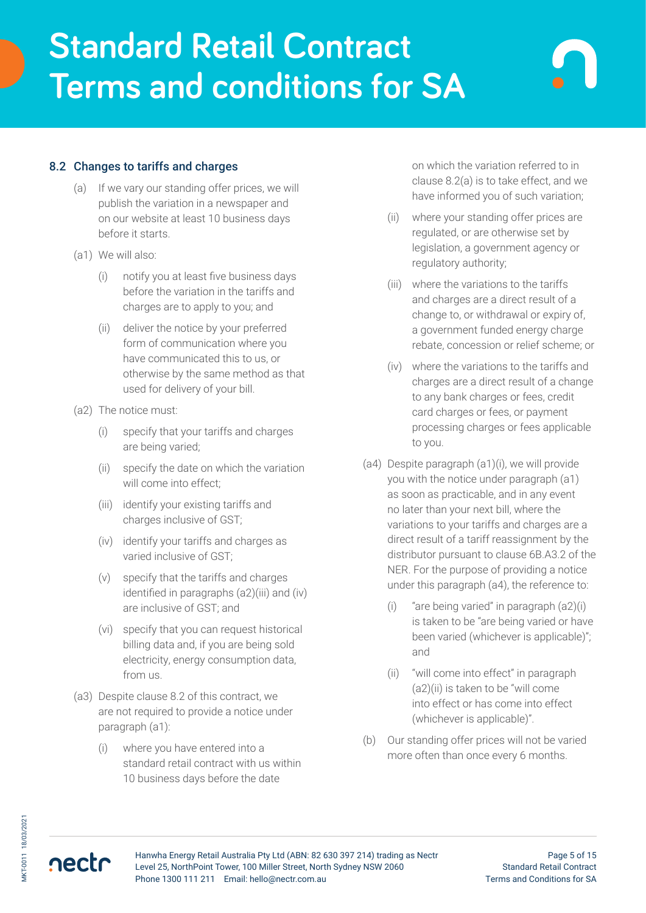- (a) If we vary our standing offer prices, we will publish the variation in a newspaper and on our website at least 10 business days before it starts.
- (a1) We will also:
	- (i) notify you at least five business days before the variation in the tariffs and charges are to apply to you; and
	- (ii) deliver the notice by your preferred form of communication where you have communicated this to us, or otherwise by the same method as that used for delivery of your bill.
- (a2) The notice must:
	- (i) specify that your tariffs and charges are being varied;
	- (ii) specify the date on which the variation will come into effect;
	- (iii) identify your existing tariffs and charges inclusive of GST;
	- (iv) identify your tariffs and charges as varied inclusive of GST;
	- (v) specify that the tariffs and charges identified in paragraphs (a2)(iii) and (iv) are inclusive of GST; and
	- (vi) specify that you can request historical billing data and, if you are being sold electricity, energy consumption data, from us.
- (a3) Despite clause 8.2 of this contract, we are not required to provide a notice under paragraph (a1):
	- (i) where you have entered into a standard retail contract with us within 10 business days before the date

on which the variation referred to in clause 8.2(a) is to take effect, and we have informed you of such variation;

- (ii) where your standing offer prices are regulated, or are otherwise set by legislation, a government agency or regulatory authority;
- (iii) where the variations to the tariffs and charges are a direct result of a change to, or withdrawal or expiry of, a government funded energy charge rebate, concession or relief scheme; or
- (iv) where the variations to the tariffs and charges are a direct result of a change to any bank charges or fees, credit card charges or fees, or payment processing charges or fees applicable to you.
- (a4) Despite paragraph (a1)(i), we will provide you with the notice under paragraph (a1) as soon as practicable, and in any event no later than your next bill, where the variations to your tariffs and charges are a direct result of a tariff reassignment by the distributor pursuant to clause 6B.A3.2 of the NER. For the purpose of providing a notice under this paragraph (a4), the reference to:
	- (i) "are being varied" in paragraph (a2)(i) is taken to be "are being varied or have been varied (whichever is applicable)"; and
	- (ii) "will come into effect" in paragraph (a2)(ii) is taken to be "will come into effect or has come into effect (whichever is applicable)".
- (b) Our standing offer prices will not be varied more often than once every 6 months.

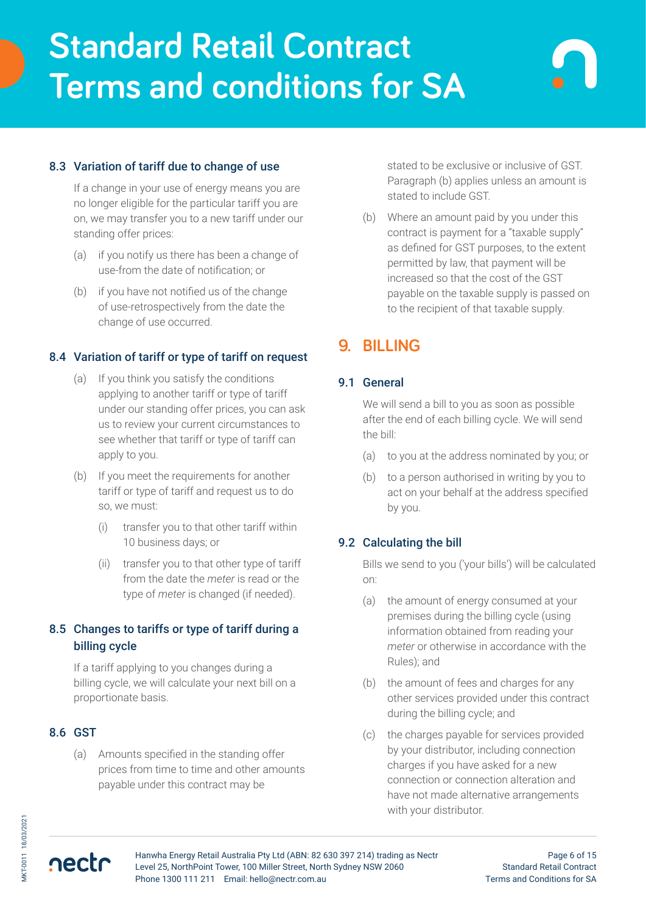## 8.3 Variation of tariff due to change of use

If a change in your use of energy means you are no longer eligible for the particular tariff you are on, we may transfer you to a new tariff under our standing offer prices:

- (a) if you notify us there has been a change of use-from the date of notification; or
- (b) if you have not notified us of the change of use-retrospectively from the date the change of use occurred.

### 8.4 Variation of tariff or type of tariff on request

- (a) If you think you satisfy the conditions applying to another tariff or type of tariff under our standing offer prices, you can ask us to review your current circumstances to see whether that tariff or type of tariff can apply to you.
- (b) If you meet the requirements for another tariff or type of tariff and request us to do so, we must:
	- (i) transfer you to that other tariff within 10 business days; or
	- (ii) transfer you to that other type of tariff from the date the *meter* is read or the type of *meter* is changed (if needed).

## 8.5 Changes to tariffs or type of tariff during a billing cycle

If a tariff applying to you changes during a billing cycle, we will calculate your next bill on a proportionate basis.

## 8.6 GST

nectr

(a) Amounts specified in the standing offer prices from time to time and other amounts payable under this contract may be

stated to be exclusive or inclusive of GST. Paragraph (b) applies unless an amount is stated to include GST.

(b) Where an amount paid by you under this contract is payment for a "taxable supply" as defined for GST purposes, to the extent permitted by law, that payment will be increased so that the cost of the GST payable on the taxable supply is passed on to the recipient of that taxable supply.

## **9. BILLING**

### 9.1 General

We will send a bill to you as soon as possible after the end of each billing cycle. We will send the bill:

- (a) to you at the address nominated by you; or
- (b) to a person authorised in writing by you to act on your behalf at the address specified by you.

## 9.2 Calculating the bill

Bills we send to you ('your bills') will be calculated on:

- (a) the amount of energy consumed at your premises during the billing cycle (using information obtained from reading your *meter* or otherwise in accordance with the Rules); and
- (b) the amount of fees and charges for any other services provided under this contract during the billing cycle; and
- (c) the charges payable for services provided by your distributor, including connection charges if you have asked for a new connection or connection alteration and have not made alternative arrangements with your distributor.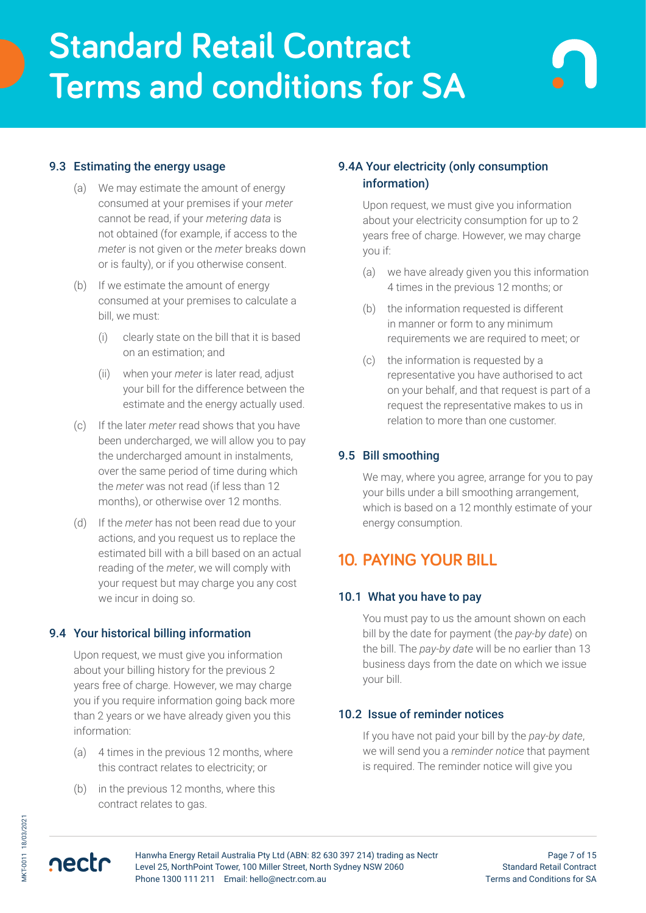### 9.3 Estimating the energy usage

- (a) We may estimate the amount of energy consumed at your premises if your *meter* cannot be read, if your *metering data* is not obtained (for example, if access to the *meter* is not given or the *meter* breaks down or is faulty), or if you otherwise consent.
- (b) If we estimate the amount of energy consumed at your premises to calculate a bill, we must:
	- (i) clearly state on the bill that it is based on an estimation; and
	- (ii) when your *meter* is later read, adjust your bill for the difference between the estimate and the energy actually used.
- (c) If the later *meter* read shows that you have been undercharged, we will allow you to pay the undercharged amount in instalments, over the same period of time during which the *meter* was not read (if less than 12 months), or otherwise over 12 months.
- (d) If the *meter* has not been read due to your actions, and you request us to replace the estimated bill with a bill based on an actual reading of the *meter*, we will comply with your request but may charge you any cost we incur in doing so.

#### 9.4 Your historical billing information

Upon request, we must give you information about your billing history for the previous 2 years free of charge. However, we may charge you if you require information going back more than 2 years or we have already given you this information:

- (a) 4 times in the previous 12 months, where this contract relates to electricity; or
- (b) in the previous 12 months, where this contract relates to gas.

## 9.4A Your electricity (only consumption information)

Upon request, we must give you information about your electricity consumption for up to 2 years free of charge. However, we may charge you if:

- (a) we have already given you this information 4 times in the previous 12 months; or
- (b) the information requested is different in manner or form to any minimum requirements we are required to meet; or
- (c) the information is requested by a representative you have authorised to act on your behalf, and that request is part of a request the representative makes to us in relation to more than one customer.

### 9.5 Bill smoothing

We may, where you agree, arrange for you to pay your bills under a bill smoothing arrangement, which is based on a 12 monthly estimate of your energy consumption.

## **10. PAYING YOUR BILL**

#### 10.1 What you have to pay

You must pay to us the amount shown on each bill by the date for payment (the *pay-by date*) on the bill. The *pay-by date* will be no earlier than 13 business days from the date on which we issue your bill.

### 10.2 Issue of reminder notices

If you have not paid your bill by the *pay-by date*, we will send you a *reminder notice* that payment is required. The reminder notice will give you

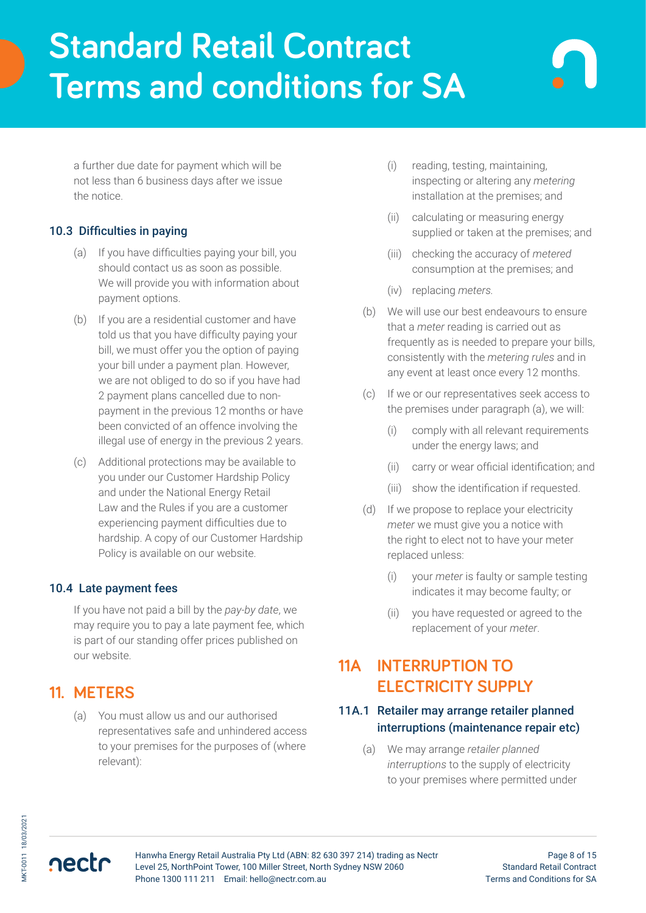a further due date for payment which will be not less than 6 business days after we issue the notice.

## 10.3 Difficulties in paying

- (a) If you have difficulties paying your bill, you should contact us as soon as possible. We will provide you with information about payment options.
- (b) If you are a residential customer and have told us that you have difficulty paying your bill, we must offer you the option of paying your bill under a payment plan. However, we are not obliged to do so if you have had 2 payment plans cancelled due to nonpayment in the previous 12 months or have been convicted of an offence involving the illegal use of energy in the previous 2 years.
- (c) Additional protections may be available to you under our Customer Hardship Policy and under the National Energy Retail Law and the Rules if you are a customer experiencing payment difficulties due to hardship. A copy of our Customer Hardship Policy is available on our website.

## 10.4 Late payment fees

If you have not paid a bill by the *pay-by date*, we may require you to pay a late payment fee, which is part of our standing offer prices published on our website.

## **11. METERS**

nectr

(a) You must allow us and our authorised representatives safe and unhindered access to your premises for the purposes of (where relevant):

- (i) reading, testing, maintaining, inspecting or altering any *metering* installation at the premises; and
- (ii) calculating or measuring energy supplied or taken at the premises; and
- (iii) checking the accuracy of *metered* consumption at the premises; and
- (iv) replacing *meters.*
- (b) We will use our best endeavours to ensure that a *meter* reading is carried out as frequently as is needed to prepare your bills, consistently with the *metering rules* and in any event at least once every 12 months.
- (c) If we or our representatives seek access to the premises under paragraph (a), we will:
	- (i) comply with all relevant requirements under the energy laws; and
	- (ii) carry or wear official identification; and
	- (iii) show the identification if requested.
- (d) If we propose to replace your electricity *meter* we must give you a notice with the right to elect not to have your meter replaced unless:
	- (i) your *meter* is faulty or sample testing indicates it may become faulty; or
	- (ii) you have requested or agreed to the replacement of your *meter*.

## **11A INTERRUPTION TO ELECTRICITY SUPPLY**

### 11A.1 Retailer may arrange retailer planned interruptions (maintenance repair etc)

(a) We may arrange *retailer planned interruptions* to the supply of electricity to your premises where permitted under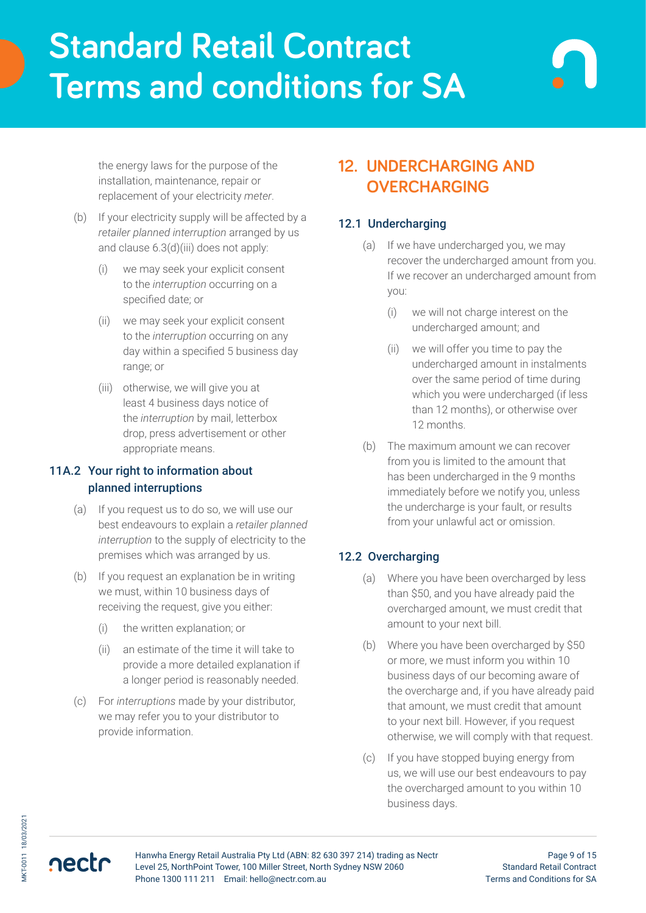the energy laws for the purpose of the installation, maintenance, repair or replacement of your electricity *meter*.

- (b) If your electricity supply will be affected by a *retailer planned interruption* arranged by us and clause 6.3(d)(iii) does not apply:
	- (i) we may seek your explicit consent to the *interruption* occurring on a specified date; or
	- (ii) we may seek your explicit consent to the *interruption* occurring on any day within a specified 5 business day range; or
	- (iii) otherwise, we will give you at least 4 business days notice of the *interruption* by mail, letterbox drop, press advertisement or other appropriate means.

## 11A.2 Your right to information about planned interruptions

- (a) If you request us to do so, we will use our best endeavours to explain a *retailer planned interruption* to the supply of electricity to the premises which was arranged by us.
- (b) If you request an explanation be in writing we must, within 10 business days of receiving the request, give you either:
	- (i) the written explanation; or
	- (ii) an estimate of the time it will take to provide a more detailed explanation if a longer period is reasonably needed.
- (c) For *interruptions* made by your distributor, we may refer you to your distributor to provide information.

## **12. UNDERCHARGING AND OVERCHARGING**

## 12.1 Undercharging

- (a) If we have undercharged you, we may recover the undercharged amount from you. If we recover an undercharged amount from you:
	- (i) we will not charge interest on the undercharged amount; and
	- (ii) we will offer you time to pay the undercharged amount in instalments over the same period of time during which you were undercharged (if less than 12 months), or otherwise over 12 months.
- (b) The maximum amount we can recover from you is limited to the amount that has been undercharged in the 9 months immediately before we notify you, unless the undercharge is your fault, or results from your unlawful act or omission.

## 12.2 Overcharging

- (a) Where you have been overcharged by less than \$50, and you have already paid the overcharged amount, we must credit that amount to your next bill.
- (b) Where you have been overcharged by \$50 or more, we must inform you within 10 business days of our becoming aware of the overcharge and, if you have already paid that amount, we must credit that amount to your next bill. However, if you request otherwise, we will comply with that request.
- (c) If you have stopped buying energy from us, we will use our best endeavours to pay the overcharged amount to you within 10 business days.

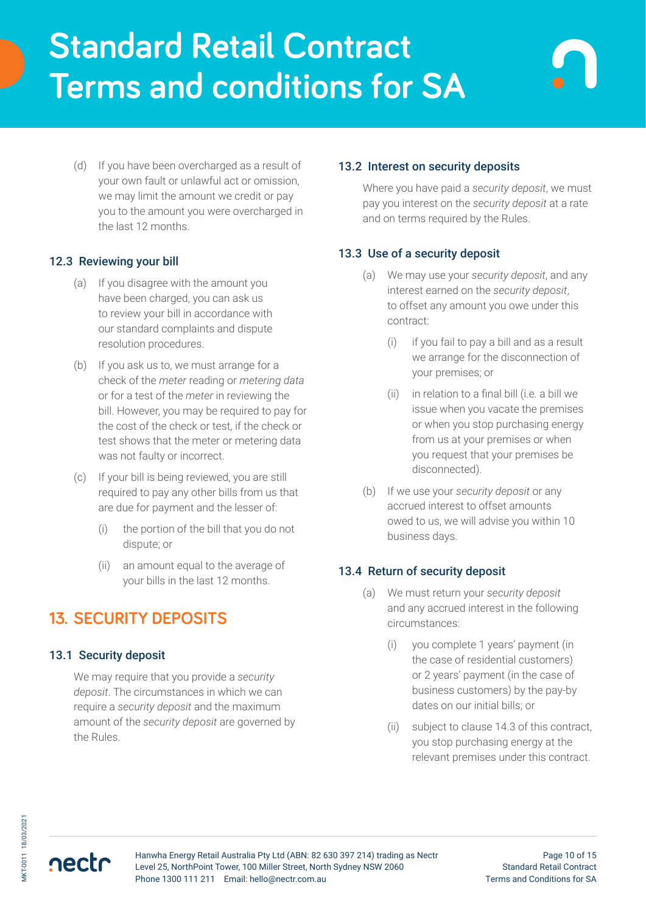(d) If you have been overcharged as a result of your own fault or unlawful act or omission, we may limit the amount we credit or pay you to the amount you were overcharged in the last 12 months.

### 12.3 Reviewing your bill

- (a) If you disagree with the amount you have been charged, you can ask us to review your bill in accordance with our standard complaints and dispute resolution procedures.
- (b) If you ask us to, we must arrange for a check of the *meter* reading or *metering data* or for a test of the *meter* in reviewing the bill. However, you may be required to pay for the cost of the check or test, if the check or test shows that the meter or metering data was not faulty or incorrect.
- (c) If your bill is being reviewed, you are still required to pay any other bills from us that are due for payment and the lesser of:
	- (i) the portion of the bill that you do not dispute; or
	- (ii) an amount equal to the average of your bills in the last 12 months.

## **13. SECURITY DEPOSITS**

## 13.1 Security deposit

We may require that you provide a *security deposit*. The circumstances in which we can require a *security deposit* and the maximum amount of the *security deposit* are governed by the Rules.

### 13.2 Interest on security deposits

Where you have paid a *security deposit*, we must pay you interest on the *security deposit* at a rate and on terms required by the Rules.

## 13.3 Use of a security deposit

- (a) We may use your *security deposit*, and any interest earned on the *security deposit*, to offset any amount you owe under this contract:
	- (i) if you fail to pay a bill and as a result we arrange for the disconnection of your premises; or
	- (ii) in relation to a final bill (i.e. a bill we issue when you vacate the premises or when you stop purchasing energy from us at your premises or when you request that your premises be disconnected).
- (b) If we use your *security deposit* or any accrued interest to offset amounts owed to us, we will advise you within 10 business days.

### 13.4 Return of security deposit

- (a) We must return your *security deposit* and any accrued interest in the following circumstances:
	- (i) you complete 1 years' payment (in the case of residential customers) or 2 years' payment (in the case of business customers) by the pay-by dates on our initial bills; or
	- (ii) subject to clause 14.3 of this contract, you stop purchasing energy at the relevant premises under this contract.

nectr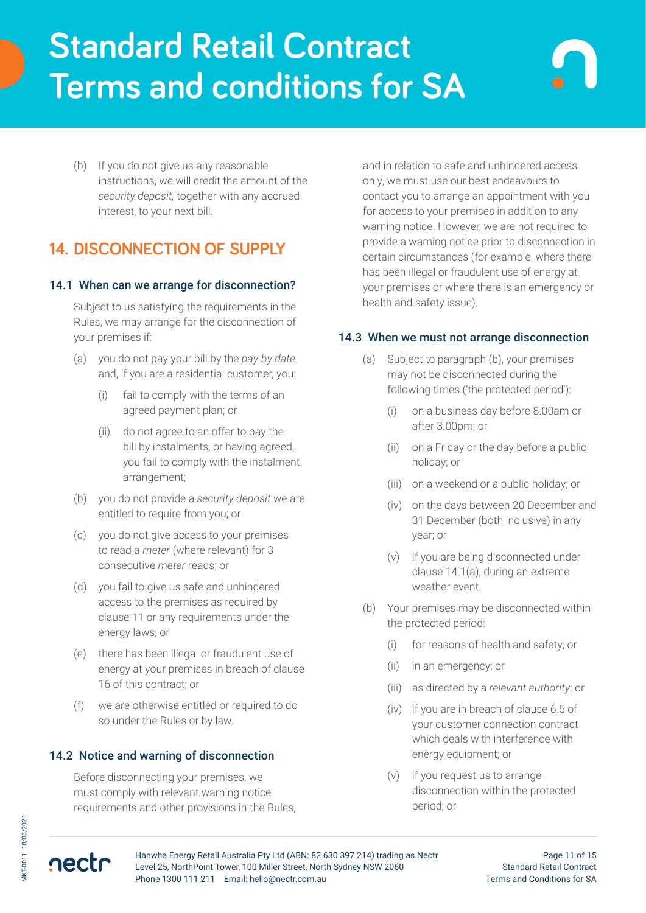(b) If you do not give us any reasonable instructions, we will credit the amount of the *security deposit,* together with any accrued interest, to your next bill.

## **14. DISCONNECTION OF SUPPLY**

### 14.1 When can we arrange for disconnection?

Subject to us satisfying the requirements in the Rules, we may arrange for the disconnection of your premises if:

- (a) you do not pay your bill by the *pay-by date* and, if you are a residential customer, you:
	- (i) fail to comply with the terms of an agreed payment plan; or
	- (ii) do not agree to an offer to pay the bill by instalments, or having agreed, you fail to comply with the instalment arrangement;
- (b) you do not provide a *security deposit* we are entitled to require from you; or
- (c) you do not give access to your premises to read a *meter* (where relevant) for 3 consecutive *meter* reads; or
- (d) you fail to give us safe and unhindered access to the premises as required by clause 11 or any requirements under the energy laws; or
- (e) there has been illegal or fraudulent use of energy at your premises in breach of clause 16 of this contract; or
- (f) we are otherwise entitled or required to do so under the Rules or by law.

### 14.2 Notice and warning of disconnection

Before disconnecting your premises, we must comply with relevant warning notice requirements and other provisions in the Rules,

and in relation to safe and unhindered access only, we must use our best endeavours to contact you to arrange an appointment with you for access to your premises in addition to any warning notice. However, we are not required to provide a warning notice prior to disconnection in certain circumstances (for example, where there has been illegal or fraudulent use of energy at your premises or where there is an emergency or health and safety issue).

### 14.3 When we must not arrange disconnection

- (a) Subject to paragraph (b), your premises may not be disconnected during the following times ('the protected period'):
	- (i) on a business day before 8.00am or after 3.00pm; or
	- (ii) on a Friday or the day before a public holiday; or
	- (iii) on a weekend or a public holiday; or
	- (iv) on the days between 20 December and 31 December (both inclusive) in any year; or
	- (v) if you are being disconnected under clause 14.1(a), during an extreme weather event.
- (b) Your premises may be disconnected within the protected period:
	- (i) for reasons of health and safety; or
	- (ii) in an emergency; or
	- (iii) as directed by a *relevant authority*; or
	- (iv) if you are in breach of clause 6.5 of your customer connection contract which deals with interference with energy equipment; or
	- (v) if you request us to arrange disconnection within the protected period; or

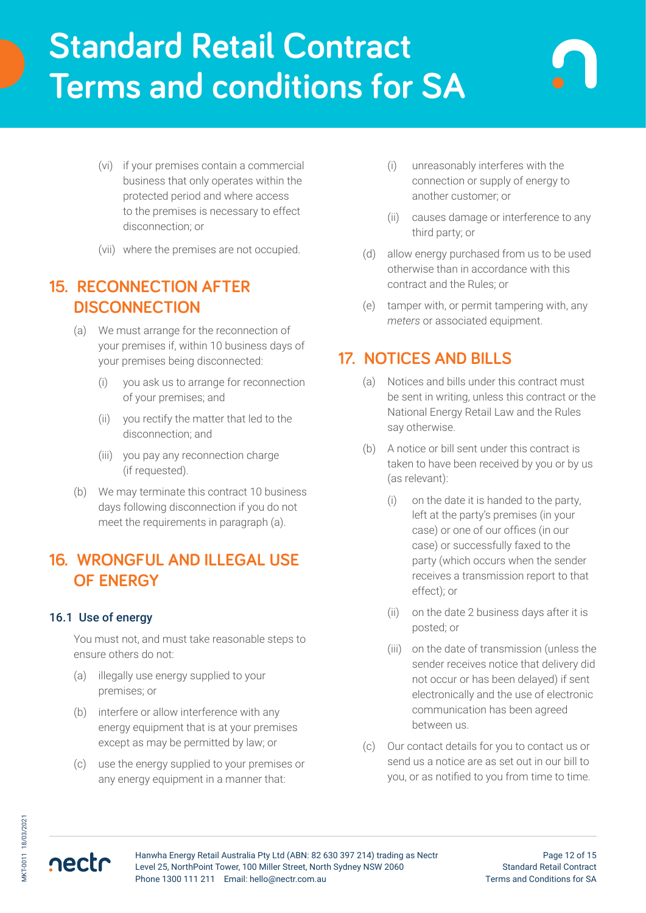- (vi) if your premises contain a commercial business that only operates within the protected period and where access to the premises is necessary to effect disconnection; or
- (vii) where the premises are not occupied.

## **15. RECONNECTION AFTER DISCONNECTION**

- (a) We must arrange for the reconnection of your premises if, within 10 business days of your premises being disconnected:
	- (i) you ask us to arrange for reconnection of your premises; and
	- (ii) you rectify the matter that led to the disconnection; and
	- (iii) you pay any reconnection charge (if requested).
- (b) We may terminate this contract 10 business days following disconnection if you do not meet the requirements in paragraph (a).

## **16. WRONGFUL AND ILLEGAL USE OF ENERGY**

## 16.1 Use of energy

You must not, and must take reasonable steps to ensure others do not:

- (a) illegally use energy supplied to your premises; or
- (b) interfere or allow interference with any energy equipment that is at your premises except as may be permitted by law; or
- (c) use the energy supplied to your premises or any energy equipment in a manner that:
- (i) unreasonably interferes with the connection or supply of energy to another customer; or
- (ii) causes damage or interference to any third party; or
- (d) allow energy purchased from us to be used otherwise than in accordance with this contract and the Rules; or
- (e) tamper with, or permit tampering with, any *meters* or associated equipment.

## **17. NOTICES AND BILLS**

- (a) Notices and bills under this contract must be sent in writing, unless this contract or the National Energy Retail Law and the Rules say otherwise.
- (b) A notice or bill sent under this contract is taken to have been received by you or by us (as relevant):
	- (i) on the date it is handed to the party, left at the party's premises (in your case) or one of our offices (in our case) or successfully faxed to the party (which occurs when the sender receives a transmission report to that effect); or
	- (ii) on the date 2 business days after it is posted; or
	- (iii) on the date of transmission (unless the sender receives notice that delivery did not occur or has been delayed) if sent electronically and the use of electronic communication has been agreed between us.
- (c) Our contact details for you to contact us or send us a notice are as set out in our bill to you, or as notified to you from time to time.

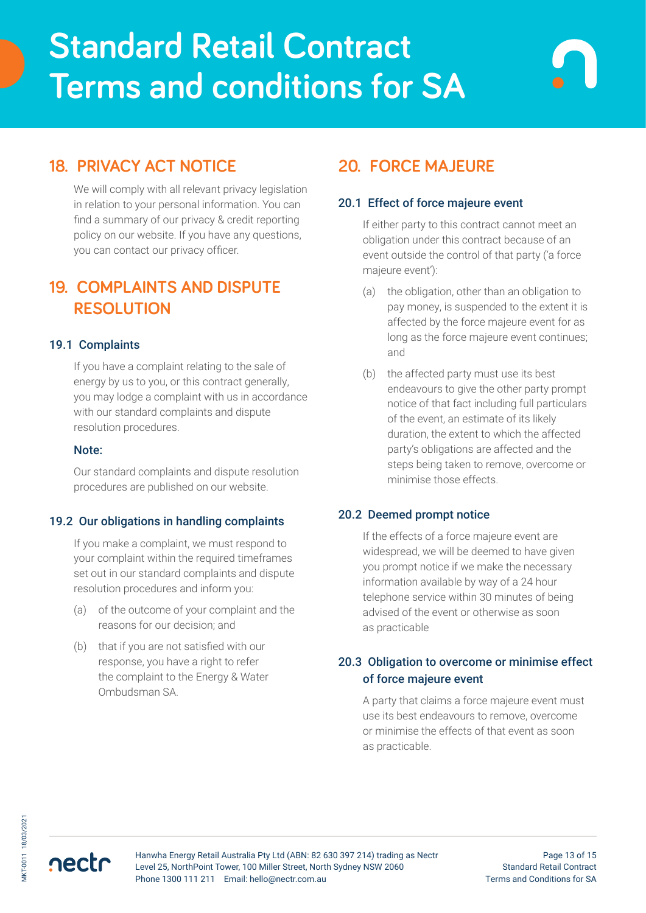## **18. PRIVACY ACT NOTICE**

We will comply with all relevant privacy legislation in relation to your personal information. You can find a summary of our privacy & credit reporting policy on our website. If you have any questions, you can contact our privacy officer.

## **19. COMPLAINTS AND DISPUTE RESOLUTION**

### 19.1 Complaints

If you have a complaint relating to the sale of energy by us to you, or this contract generally, you may lodge a complaint with us in accordance with our standard complaints and dispute resolution procedures.

#### Note:

Our standard complaints and dispute resolution procedures are published on our website.

### 19.2 Our obligations in handling complaints

If you make a complaint, we must respond to your complaint within the required timeframes set out in our standard complaints and dispute resolution procedures and inform you:

- (a) of the outcome of your complaint and the reasons for our decision; and
- (b) that if you are not satisfied with our response, you have a right to refer the complaint to the Energy & Water Ombudsman SA.

# **20. FORCE MAJEURE**

### 20.1 Effect of force majeure event

If either party to this contract cannot meet an obligation under this contract because of an event outside the control of that party ('a force majeure event'):

- (a) the obligation, other than an obligation to pay money, is suspended to the extent it is affected by the force majeure event for as long as the force majeure event continues; and
- (b) the affected party must use its best endeavours to give the other party prompt notice of that fact including full particulars of the event, an estimate of its likely duration, the extent to which the affected party's obligations are affected and the steps being taken to remove, overcome or minimise those effects.

### 20.2 Deemed prompt notice

If the effects of a force majeure event are widespread, we will be deemed to have given you prompt notice if we make the necessary information available by way of a 24 hour telephone service within 30 minutes of being advised of the event or otherwise as soon as practicable

## 20.3 Obligation to overcome or minimise effect of force majeure event

A party that claims a force majeure event must use its best endeavours to remove, overcome or minimise the effects of that event as soon as practicable.

nectr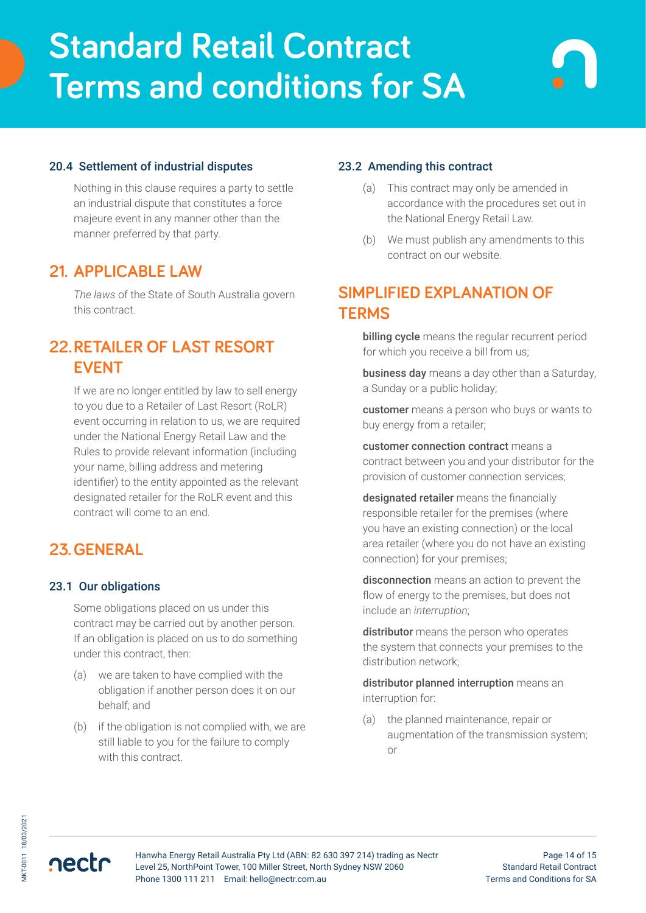### 20.4 Settlement of industrial disputes

Nothing in this clause requires a party to settle an industrial dispute that constitutes a force majeure event in any manner other than the manner preferred by that party.

## **21. APPLICABLE LAW**

*The laws* of the State of South Australia govern this contract.

## **22.RETAILER OF LAST RESORT EVENT**

If we are no longer entitled by law to sell energy to you due to a Retailer of Last Resort (RoLR) event occurring in relation to us, we are required under the National Energy Retail Law and the Rules to provide relevant information (including your name, billing address and metering identifier) to the entity appointed as the relevant designated retailer for the RoLR event and this contract will come to an end.

## **23.GENERAL**

### 23.1 Our obligations

Some obligations placed on us under this contract may be carried out by another person. If an obligation is placed on us to do something under this contract, then:

- (a) we are taken to have complied with the obligation if another person does it on our behalf; and
- (b) if the obligation is not complied with, we are still liable to you for the failure to comply with this contract.

### 23.2 Amending this contract

- (a) This contract may only be amended in accordance with the procedures set out in the National Energy Retail Law.
- (b) We must publish any amendments to this contract on our website.

## **SIMPLIFIED EXPLANATION OF TERMS**

billing cycle means the regular recurrent period for which you receive a bill from us;

business day means a day other than a Saturday, a Sunday or a public holiday;

customer means a person who buys or wants to buy energy from a retailer;

customer connection contract means a contract between you and your distributor for the provision of customer connection services;

designated retailer means the financially responsible retailer for the premises (where you have an existing connection) or the local area retailer (where you do not have an existing connection) for your premises;

disconnection means an action to prevent the flow of energy to the premises, but does not include an *interruption*;

distributor means the person who operates the system that connects your premises to the distribution network;

distributor planned interruption means an interruption for:

(a) the planned maintenance, repair or augmentation of the transmission system; or